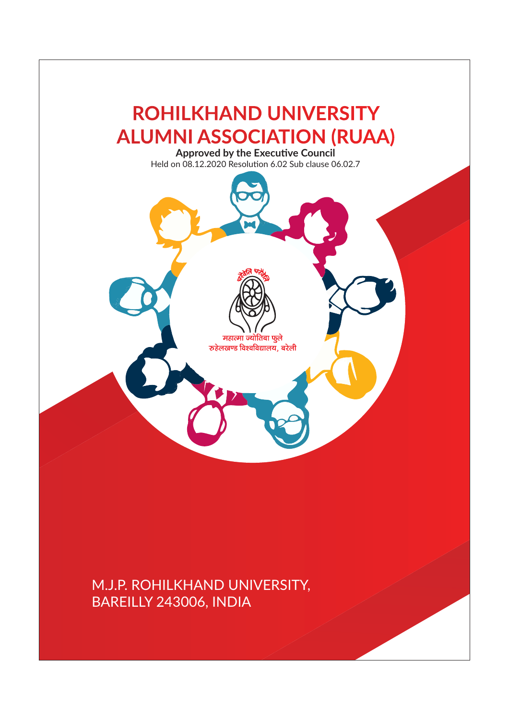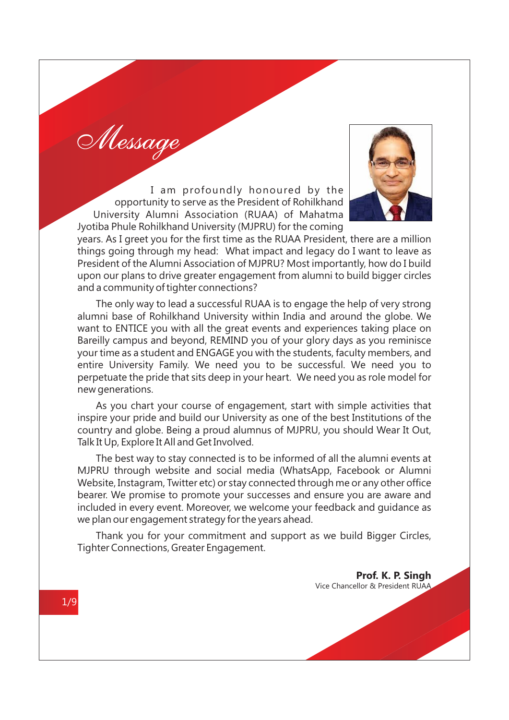Message

I am profoundly honoured by the opportunity to serve as the President of Rohilkhand University Alumni Association (RUAA) of Mahatma Jyotiba Phule Rohilkhand University (MJPRU) for the coming



years. As I greet you for the first time as the RUAA President, there are a million things going through my head: What impact and legacy do I want to leave as President of the Alumni Association of MJPRU? Most importantly, how do I build upon our plans to drive greater engagement from alumni to build bigger circles and a community of tighter connections?

The only way to lead a successful RUAA is to engage the help of very strong alumni base of Rohilkhand University within India and around the globe. We want to ENTICE you with all the great events and experiences taking place on Bareilly campus and beyond, REMIND you of your glory days as you reminisce your time as a student and ENGAGE you with the students, faculty members, and entire University Family. We need you to be successful. We need you to perpetuate the pride that sits deep in your heart. We need you as role model for new generations.

As you chart your course of engagement, start with simple activities that inspire your pride and build our University as one of the best Institutions of the country and globe. Being a proud alumnus of MJPRU, you should Wear It Out, Talk It Up, Explore It All and Get Involved.

The best way to stay connected is to be informed of all the alumni events at MJPRU through website and social media (WhatsApp, Facebook or Alumni Website, Instagram, Twitter etc) or stay connected through me or any other office bearer. We promise to promote your successes and ensure you are aware and included in every event. Moreover, we welcome your feedback and guidance as we plan our engagement strategy for the years ahead.

Thank you for your commitment and support as we build Bigger Circles, Tighter Connections, Greater Engagement.

> **Prof. K. P. Singh** Vice Chancellor & President RUAA

1/9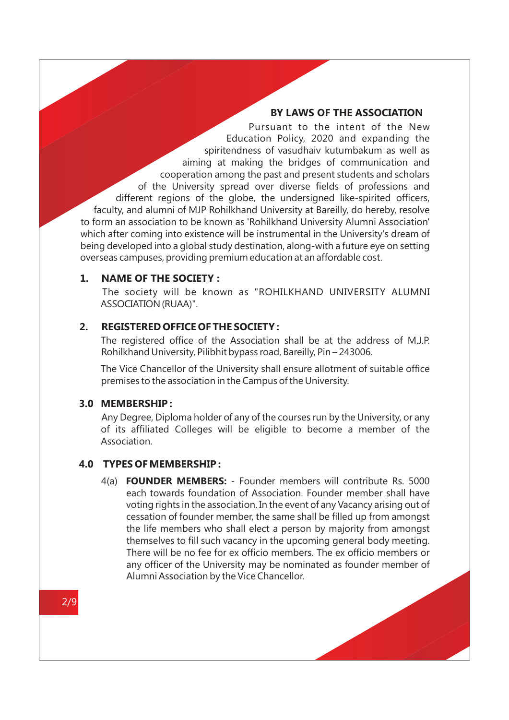#### **BY LAWS OF THE ASSOCIATION**

Pursuant to the intent of the New Education Policy, 2020 and expanding the spiritendness of vasudhaiv kutumbakum as well as aiming at making the bridges of communication and cooperation among the past and present students and scholars of the University spread over diverse fields of professions and different regions of the globe, the undersigned like-spirited officers, faculty, and alumni of MJP Rohilkhand University at Bareilly, do hereby, resolve to form an association to be known as 'Rohilkhand University Alumni Association' which after coming into existence will be instrumental in the University's dream of being developed into a global study destination, along-with a future eye on setting overseas campuses, providing premium education at an affordable cost.

## **1. NAME OF THE SOCIETY :**

The society will be known as "ROHILKHAND UNIVERSITY ALUMNI ASSOCIATION(RUAA)".

#### **2. REGISTERED OFFICE OF THE SOCIETY :**

The registered office of the Association shall be at the address of M.J.P. Rohilkhand University, Pilibhit bypass road, Bareilly, Pin – 243006.

The Vice Chancellor of the University shall ensure allotment of suitable office premises to the association in the Campus of the University.

#### **3.0 MEMBERSHIP :**

Any Degree, Diploma holder of any of the courses run by the University, or any of its affiliated Colleges will be eligible to become a member of the Association.

#### **4.0 TYPES OF MEMBERSHIP :**

4(a) **FOUNDER MEMBERS:** - Founder members will contribute Rs. 5000 each towards foundation of Association. Founder member shall have voting rights in the association. In the event of any Vacancy arising out of cessation of founder member, the same shall be filled up from amongst the life members who shall elect a person by majority from amongst themselves to fill such vacancy in the upcoming general body meeting. There will be no fee for ex officio members. The ex officio members or any officer of the University may be nominated as founder member of Alumni Association by the Vice Chancellor.

2/9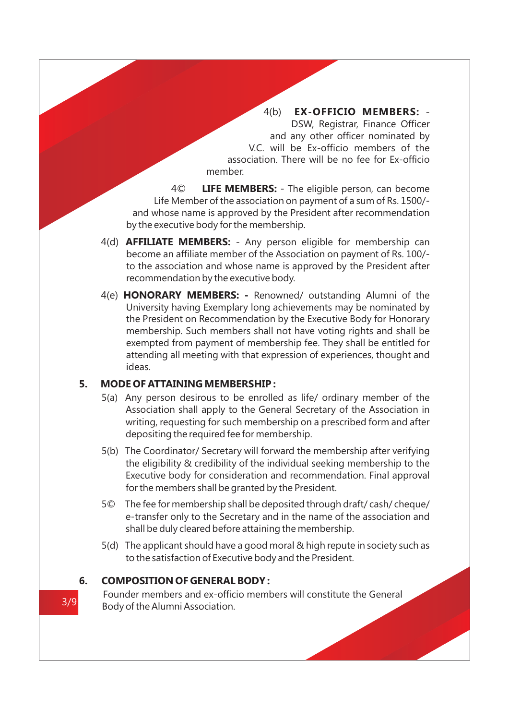4(b) **EX-OFFICIO MEMBERS:** - DSW, Registrar, Finance Officer and any other officer nominated by V.C. will be Ex-officio members of the association. There will be no fee for Ex-officio member.

4© **LIFE MEMBERS:** - The eligible person, can become Life Member of the association on payment of a sum of Rs. 1500/ and whose name is approved by the President after recommendation by the executive body for the membership.

- 4(d) **AFFILIATE MEMBERS:**  Any person eligible for membership can become an affiliate member of the Association on payment of Rs. 100/ to the association and whose name is approved by the President after recommendation by the executive body.
- 4(e) **HONORARY MEMBERS:** Renowned/ outstanding Alumni of the University having Exemplary long achievements may be nominated by the President on Recommendation by the Executive Body for Honorary membership. Such members shall not have voting rights and shall be exempted from payment of membership fee. They shall be entitled for attending all meeting with that expression of experiences, thought and ideas.

# **5. MODE OF ATTAINING MEMBERSHIP :**

- 5(a) Any person desirous to be enrolled as life/ ordinary member of the Association shall apply to the General Secretary of the Association in writing, requesting for such membership on a prescribed form and after depositing the required fee for membership.
- 5(b) The Coordinator/ Secretary will forward the membership after verifying the eligibility & credibility of the individual seeking membership to the Executive body for consideration and recommendation. Final approval for the members shall be granted by the President.
- 5© The fee for membership shall be deposited through draft/ cash/ cheque/ e-transfer only to the Secretary and in the name of the association and shall be duly cleared before attaining the membership.
- 5(d) The applicant should have a good moral & high repute in society such as to the satisfaction of Executive body and the President.

# **6. COMPOSITION OF GENERAL BODY :**

Founder members and ex-officio members will constitute the General Body of the Alumni Association.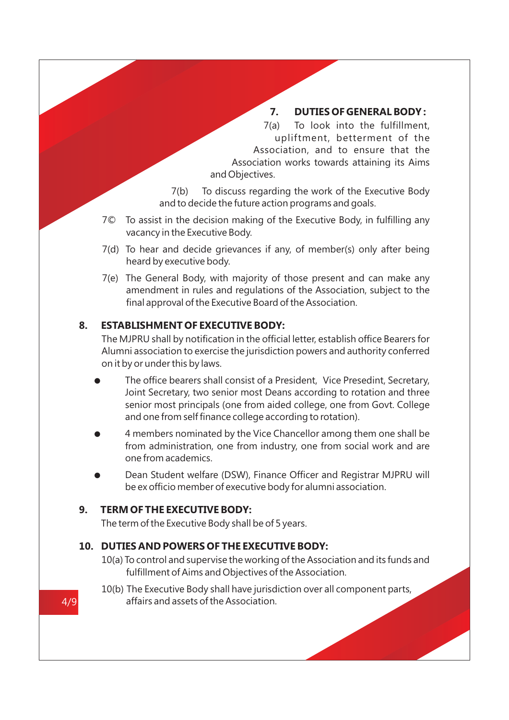# **7. DUTIES OF GENERAL BODY :**

7(a) To look into the fulfillment, upliftment, betterment of the Association, and to ensure that the Association works towards attaining its Aims and Objectives.

7(b) To discuss regarding the work of the Executive Body and to decide the future action programs and goals.

- 7© To assist in the decision making of the Executive Body, in fulfilling any vacancy in the Executive Body.
- 7(d) To hear and decide grievances if any, of member(s) only after being heard by executive body.
- 7(e) The General Body, with majority of those present and can make any amendment in rules and regulations of the Association, subject to the final approval of the Executive Board of the Association.

# **8. ESTABLISHMENT OF EXECUTIVE BODY:**

The MJPRU shall by notification in the official letter, establish office Bearers for Alumni association to exercise the jurisdiction powers and authority conferred on it by or under this by laws.

- The office bearers shall consist of a President, Vice Presedint, Secretary, Joint Secretary, two senior most Deans according to rotation and three senior most principals (one from aided college, one from Govt. College and one from self finance college according to rotation).
- l 4 members nominated by the Vice Chancellor among them one shall be from administration, one from industry, one from social work and are one from academics.
- Dean Student welfare (DSW), Finance Officer and Registrar MJPRU will be ex officio member of executive body for alumni association.

# **9. TERM OF THE EXECUTIVE BODY:**

The term of the Executive Body shall be of 5 years.

# **10. DUTIES AND POWERS OF THE EXECUTIVE BODY:**

- 10(a) To control and supervise the working of the Association and its funds and fulfillment of Aims and Objectives of the Association.
- 10(b) The Executive Body shall have jurisdiction over all component parts, 4/9 affairs and assets of the Association.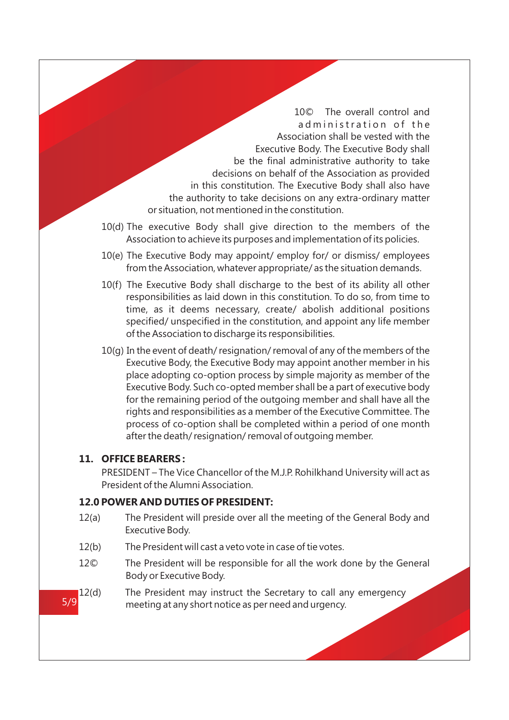10© The overall control and ad ministration of the Association shall be vested with the Executive Body. The Executive Body shall be the final administrative authority to take decisions on behalf of the Association as provided in this constitution. The Executive Body shall also have the authority to take decisions on any extra-ordinary matter or situation, not mentioned in the constitution.

- 10(d) The executive Body shall give direction to the members of the Association to achieve its purposes and implementation of its policies.
- 10(e) The Executive Body may appoint/ employ for/ or dismiss/ employees from the Association, whatever appropriate/ as the situation demands.
- 10(f) The Executive Body shall discharge to the best of its ability all other responsibilities as laid down in this constitution. To do so, from time to time, as it deems necessary, create/ abolish additional positions specified/ unspecified in the constitution, and appoint any life member of the Association to discharge its responsibilities.
- 10(g) In the event of death/ resignation/ removal of any of the members of the Executive Body, the Executive Body may appoint another member in his place adopting co-option process by simple majority as member of the Executive Body. Such co-opted member shall be a part of executive body for the remaining period of the outgoing member and shall have all the rights and responsibilities as a member of the Executive Committee. The process of co-option shall be completed within a period of one month after the death/ resignation/ removal of outgoing member.

## **11. OFFICE BEARERS :**

PRESIDENT – The Vice Chancellor of the M.J.P. Rohilkhand University will act as President of the Alumni Association.

## **12.0 POWER AND DUTIES OF PRESIDENT:**

- 12(a) The President will preside over all the meeting of the General Body and Executive Body.
- 12(b) The President will cast a veto vote in case of tie votes.
- 12© The President will be responsible for all the work done by the General Body or Executive Body.
- 12(d) The President may instruct the Secretary to call any emergency 5/9 meeting at any short notice as per need and urgency.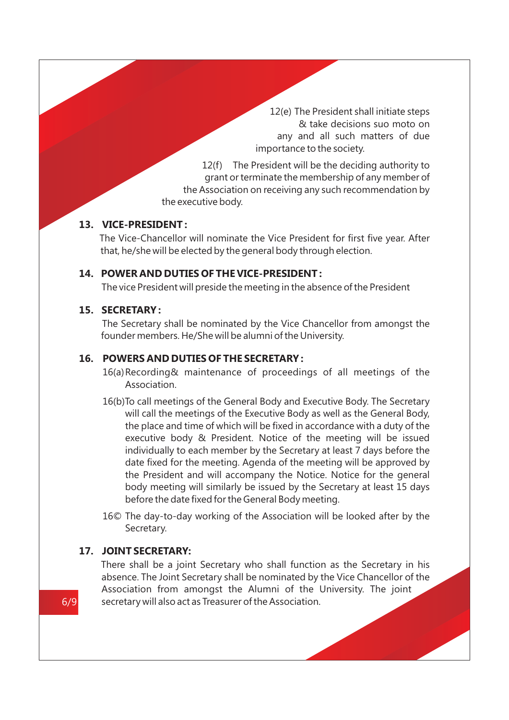12(e) The President shall initiate steps & take decisions suo moto on any and all such matters of due importance to the society.

12(f) The President will be the deciding authority to grant or terminate the membership of any member of the Association on receiving any such recommendation by the executive body.

## **13. VICE-PRESIDENT :**

The Vice-Chancellor will nominate the Vice President for first five year. After that, he/she will be elected by the general body through election.

#### **14. POWER AND DUTIES OF THE VICE-PRESIDENT :**

The vice President will preside the meeting in the absence of the President

# **15. SECRETARY :**

The Secretary shall be nominated by the Vice Chancellor from amongst the founder members. He/She will be alumni of the University.

# **16. POWERS AND DUTIES OF THE SECRETARY :**

- 16(a) Recording& maintenance of proceedings of all meetings of the Association.
- 16(b)To call meetings of the General Body and Executive Body. The Secretary will call the meetings of the Executive Body as well as the General Body, the place and time of which will be fixed in accordance with a duty of the executive body & President. Notice of the meeting will be issued individually to each member by the Secretary at least 7 days before the date fixed for the meeting. Agenda of the meeting will be approved by the President and will accompany the Notice. Notice for the general body meeting will similarly be issued by the Secretary at least 15 days before the date fixed for the General Body meeting.
- 16© The day-to-day working of the Association will be looked after by the Secretary.

#### **17. JOINT SECRETARY:**

There shall be a joint Secretary who shall function as the Secretary in his absence. The Joint Secretary shall be nominated by the Vice Chancellor of the Association from amongst the Alumni of the University. The joint 6/9 secretary will also act as Treasurer of the Association.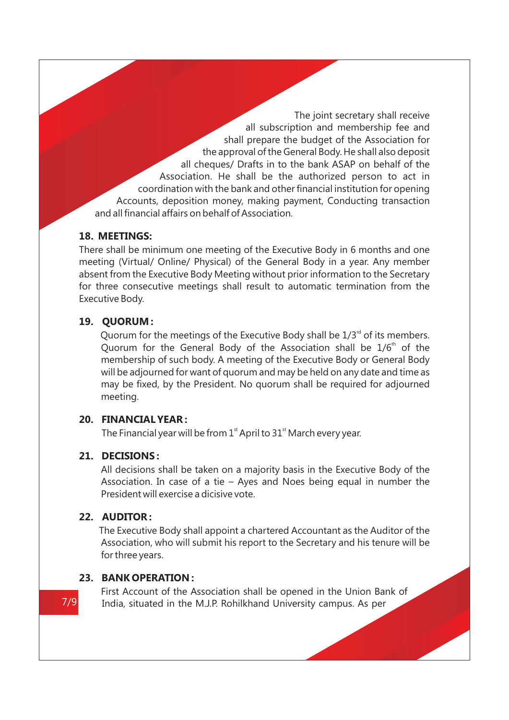The joint secretary shall receive all subscription and membership fee and shall prepare the budget of the Association for the approval of the General Body. He shall also deposit all cheques/ Drafts in to the bank ASAP on behalf of the Association. He shall be the authorized person to act in coordination with the bank and other financial institution for opening Accounts, deposition money, making payment, Conducting transaction and all financial affairs on behalf of Association.

# **18. MEETINGS:**

There shall be minimum one meeting of the Executive Body in 6 months and one meeting (Virtual/ Online/ Physical) of the General Body in a year. Any member absent from the Executive Body Meeting without prior information to the Secretary for three consecutive meetings shall result to automatic termination from the Executive Body.

# **19. QUORUM :**

Ouorum for the meetings of the Executive Body shall be  $1/3<sup>rd</sup>$  of its members. Quorum for the General Body of the Association shall be  $1/6<sup>th</sup>$  of the membership of such body. A meeting of the Executive Body or General Body will be adjourned for want of quorum and may be held on any date and time as may be fixed, by the President. No quorum shall be required for adjourned meeting.

# **20. FINANCIAL YEAR :**

The Financial year will be from  $1<sup>st</sup>$  April to  $31<sup>st</sup>$  March every year.

# **21. DECISIONS :**

All decisions shall be taken on a majority basis in the Executive Body of the Association. In case of a tie – Ayes and Noes being equal in number the President will exercise a dicisive vote.

# **22. AUDITOR :**

The Executive Body shall appoint a chartered Accountant as the Auditor of the Association, who will submit his report to the Secretary and his tenure will be for three years.

# **23. BANK OPERATION :**

First Account of the Association shall be opened in the Union Bank of 7/9 India, situated in the M.J.P. Rohilkhand University campus. As per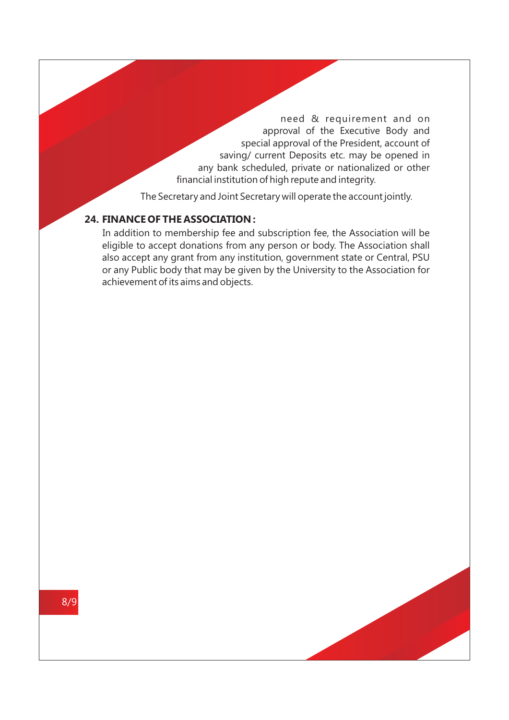need & requirement and on approval of the Executive Body and special approval of the President, account of saving/ current Deposits etc. may be opened in any bank scheduled, private or nationalized or other financial institution of high repute and integrity.

The Secretary and Joint Secretary will operate the account jointly.

# **24. FINANCE OF THE ASSOCIATION :**

In addition to membership fee and subscription fee, the Association will be eligible to accept donations from any person or body. The Association shall also accept any grant from any institution, government state or Central, PSU or any Public body that may be given by the University to the Association for achievement of its aims and objects.